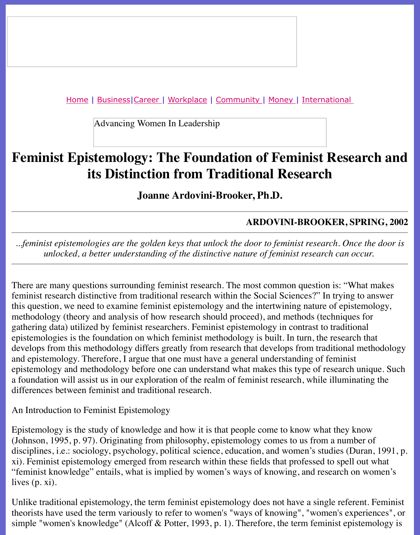Advancing Women In Leadership

# **Feminist Epistemology: The Foundation of Feminist Research and** *Feminist* **Research and** *Feminist* **Research and** *Feminist* **Research and** *Feminist* **Research and** *Feminist* **Research and** *Feminist* **Research and** *Feminist* **Res [i](http://www.advancingwomen.com/index.html)t[s Disti](file:///business.html)[nctio](file:///awcareer.html)[n from T](file:///workplace.html)[radition](file:///ub/UltraBoard.cgi)[al Re](file:///finance.html)[s](file:///lifestyles/lifestyles.html)[earch](file:///international.html)**

**Joanne Ardovini-Brooker, Ph.D.**

## **ARDOVINI-BROOKER, SI**

*...feminist epistemologies are the golden keys that unlock the door to feminist research. Once unlocked, a better understanding of the distinctive nature of feminist research can o* 

There are many questions surrounding feminist research. The most common question is: "W feminist research distinctive from traditional research within the Social Sciences?" In trying this question, we need to examine feminist epistemology and the intertwining nature of epist methodology (theory and analysis of how research should proceed), and methods (technique gathering data) utilized by feminist researchers. Feminist epistemology in contrast to traditional epistemologies is the foundation on which feminist methodology is built. In turn, the research develops from this methodology differs greatly from research that develops from traditional and epistemology. Therefore, I argue that one must have a general understanding of feminist epistemology and methodology before one can understand what makes this type of research a foundation will assist us in our exploration of the realm of feminist research, while illumin differences between feminist and traditional research.

An Introduction to Feminist Epistemology

Epistemology is the study of knowledge and how it is that people come to know what they k (Johnson, 1995, p. 97). Originating from philosophy, epistemology comes to us from a numb disciplines, i.e.: sociology, psychology, political science, education, and women's studies (D xi). Feminist epistemology emerged from research within these fields that professed to spell "feminist knowledge" entails, what is implied by women's ways of knowing, and research on lives (p. xi).

Unlike traditional epistemology, the term feminist epistemology does not have a single referent. theorists have used the term variously to refer to women's "ways of knowing", "women's exp simple "women's knowledge" (Alcoff & Potter, 1993, p. 1). Therefore, the term feminist epis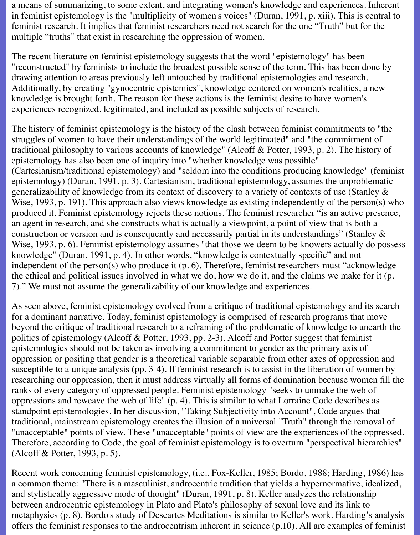a means of summarizing, to some extent, and integrating women's knowledge and experiences. Inherent in feminist epistemology is the "multiplicity of women's voices" (Duran, 1991, p. xiii). This is central to feminist research. It implies that feminist researchers need not search for the one "Truth" but for the multiple "truths" that exist in researching the oppression of women.

The recent literature on feminist epistemology suggests that the word "epistemology" has been "reconstructed" by feminists to include the broadest possible sense of the term. This has been done by drawing attention to areas previously left untouched by traditional epistemologies and research. Additionally, by creating "gynocentric epistemics", knowledge centered on women's realities, a new knowledge is brought forth. The reason for these actions is the feminist desire to have women's experiences recognized, legitimated, and included as possible subjects of research.

The history of feminist epistemology is the history of the clash between feminist commitments to "the struggles of women to have their understandings of the world legitimated" and "the commitment of traditional philosophy to various accounts of knowledge" (Alcoff & Potter, 1993, p. 2). The history of epistemology has also been one of inquiry into "whether knowledge was possible" (Cartesianism/traditional epistemology) and "seldom into the conditions producing knowledge" (feminist epistemology) (Duran, 1991, p. 3). Cartesianism, traditional epistemology, assumes the unproblematic generalizability of knowledge from its context of discovery to a variety of contexts of use (Stanley & Wise, 1993, p. 191). This approach also views knowledge as existing independently of the person(s) who produced it. Feminist epistemology rejects these notions. The feminist researcher "is an active presence, an agent in research, and she constructs what is actually a viewpoint, a point of view that is both a construction or version and is consequently and necessarily partial in its understandings" (Stanley & Wise, 1993, p. 6). Feminist epistemology assumes "that those we deem to be knowers actually do possess knowledge" (Duran, 1991, p. 4). In other words, "knowledge is contextually specific" and not independent of the person(s) who produce it (p. 6). Therefore, feminist researchers must "acknowledge the ethical and political issues involved in what we do, how we do it, and the claims we make for it (p. 7)." We must not assume the generalizability of our knowledge and experiences.

As seen above, feminist epistemology evolved from a critique of traditional epistemology and its search for a dominant narrative. Today, feminist epistemology is comprised of research programs that move beyond the critique of traditional research to a reframing of the problematic of knowledge to unearth the politics of epistemology (Alcoff & Potter, 1993, pp. 2-3). Alcoff and Potter suggest that feminist epistemologies should not be taken as involving a commitment to gender as the primary axis of oppression or positing that gender is a theoretical variable separable from other axes of oppression and susceptible to a unique analysis (pp. 3-4). If feminist research is to assist in the liberation of women by researching our oppression, then it must address virtually all forms of domination because women fill the ranks of every category of oppressed people. Feminist epistemology "seeks to unmake the web of oppressions and reweave the web of life" (p. 4). This is similar to what Lorraine Code describes as standpoint epistemologies. In her discussion, "Taking Subjectivity into Account", Code argues that traditional, mainstream epistemology creates the illusion of a universal "Truth" through the removal of "unacceptable" points of view. These "unacceptable" points of view are the experiences of the oppressed. Therefore, according to Code, the goal of feminist epistemology is to overturn "perspectival hierarchies" (Alcoff & Potter, 1993, p. 5).

Recent work concerning feminist epistemology, (i.e., Fox-Keller, 1985; Bordo, 1988; Harding, 1986) has a common theme: "There is a masculinist, androcentric tradition that yields a hypernormative, idealized, and stylistically aggressive mode of thought" (Duran, 1991, p. 8). Keller analyzes the relationship between androcentric epistemology in Plato and Plato's philosophy of sexual love and its link to metaphysics (p. 8). Bordo's study of Descartes Meditations is similar to Keller's work. Harding's analysis offers the feminist responses to the androcentrism inherent in science (p.10). All are examples of feminist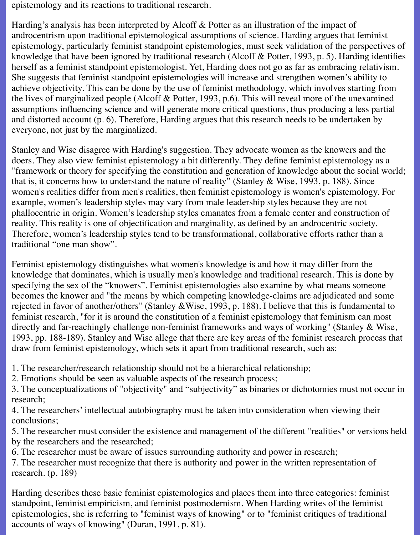epistemology and its reactions to traditional research.

Harding's analysis has been interpreted by Alcoff & Potter as an illustration of the impact of androcentrism upon traditional epistemological assumptions of science. Harding argues that feminist epistemology, particularly feminist standpoint epistemologies, must seek validation of the perspectives of knowledge that have been ignored by traditional research (Alcoff & Potter, 1993, p. 5). Harding identifies herself as a feminist standpoint epistemologist. Yet, Harding does not go as far as embracing relativism. She suggests that feminist standpoint epistemologies will increase and strengthen women's ability to achieve objectivity. This can be done by the use of feminist methodology, which involves starting from the lives of marginalized people (Alcoff & Potter, 1993, p.6). This will reveal more of the unexamined assumptions influencing science and will generate more critical questions, thus producing a less partial and distorted account (p. 6). Therefore, Harding argues that this research needs to be undertaken by everyone, not just by the marginalized.

Stanley and Wise disagree with Harding's suggestion. They advocate women as the knowers and the doers. They also view feminist epistemology a bit differently. They define feminist epistemology as a "framework or theory for specifying the constitution and generation of knowledge about the social world; that is, it concerns how to understand the nature of reality" (Stanley & Wise, 1993, p. 188). Since women's realities differ from men's realities, then feminist epistemology is women's epistemology. For example, women's leadership styles may vary from male leadership styles because they are not phallocentric in origin. Women's leadership styles emanates from a female center and construction of reality. This reality is one of objectification and marginality, as defined by an androcentric society. Therefore, women's leadership styles tend to be transformational, collaborative efforts rather than a traditional "one man show".

Feminist epistemology distinguishes what women's knowledge is and how it may differ from the knowledge that dominates, which is usually men's knowledge and traditional research. This is done by specifying the sex of the "knowers". Feminist epistemologies also examine by what means someone becomes the knower and "the means by which competing knowledge-claims are adjudicated and some rejected in favor of another/others" (Stanley &Wise, 1993, p. 188). I believe that this is fundamental to feminist research, "for it is around the constitution of a feminist epistemology that feminism can most directly and far-reachingly challenge non-feminist frameworks and ways of working" (Stanley & Wise, 1993, pp. 188-189). Stanley and Wise allege that there are key areas of the feminist research process that draw from feminist epistemology, which sets it apart from traditional research, such as:

1. The researcher/research relationship should not be a hierarchical relationship;

2. Emotions should be seen as valuable aspects of the research process;

3. The conceptualizations of "objectivity" and "subjectivity" as binaries or dichotomies must not occur in research;

4. The researchers' intellectual autobiography must be taken into consideration when viewing their conclusions;

5. The researcher must consider the existence and management of the different "realities" or versions held by the researchers and the researched;

6. The researcher must be aware of issues surrounding authority and power in research;

7. The researcher must recognize that there is authority and power in the written representation of research. (p. 189)

Harding describes these basic feminist epistemologies and places them into three categories: feminist standpoint, feminist empiricism, and feminist postmodernism. When Harding writes of the feminist epistemologies, she is referring to "feminist ways of knowing" or to "feminist critiques of traditional accounts of ways of knowing" (Duran, 1991, p. 81).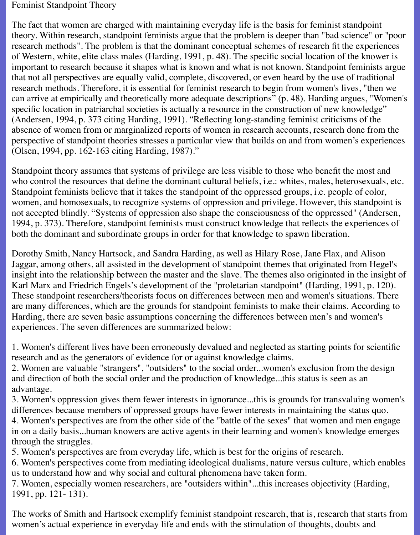#### Feminist Standpoint Theory

The fact that women are charged with maintaining everyday life is the basis for feminist standpoint theory. Within research, standpoint feminists argue that the problem is deeper than "bad science" or "poor research methods". The problem is that the dominant conceptual schemes of research fit the experiences of Western, white, elite class males (Harding, 1991, p. 48). The specific social location of the knower is important to research because it shapes what is known and what is not known. Standpoint feminists argue that not all perspectives are equally valid, complete, discovered, or even heard by the use of traditional research methods. Therefore, it is essential for feminist research to begin from women's lives, "then we can arrive at empirically and theoretically more adequate descriptions" (p. 48). Harding argues, "Women's specific location in patriarchal societies is actually a resource in the construction of new knowledge" (Andersen, 1994, p. 373 citing Harding, 1991). "Reflecting long-standing feminist criticisms of the absence of women from or marginalized reports of women in research accounts, research done from the perspective of standpoint theories stresses a particular view that builds on and from women's experiences (Olsen, 1994, pp. 162-163 citing Harding, 1987)."

Standpoint theory assumes that systems of privilege are less visible to those who benefit the most and who control the resources that define the dominant cultural beliefs, i.e.: whites, males, heterosexuals, etc. Standpoint feminists believe that it takes the standpoint of the oppressed groups, i.e. people of color, women, and homosexuals, to recognize systems of oppression and privilege. However, this standpoint is not accepted blindly. "Systems of oppression also shape the consciousness of the oppressed" (Andersen, 1994, p. 373). Therefore, standpoint feminists must construct knowledge that reflects the experiences of both the dominant and subordinate groups in order for that knowledge to spawn liberation.

Dorothy Smith, Nancy Hartsock, and Sandra Harding, as well as Hilary Rose, Jane Flax, and Alison Jaggar, among others, all assisted in the development of standpoint themes that originated from Hegel's insight into the relationship between the master and the slave. The themes also originated in the insight of Karl Marx and Friedrich Engels's development of the "proletarian standpoint" (Harding, 1991, p. 120). These standpoint researchers/theorists focus on differences between men and women's situations. There are many differences, which are the grounds for standpoint feminists to make their claims. According to Harding, there are seven basic assumptions concerning the differences between men's and women's experiences. The seven differences are summarized below:

1. Women's different lives have been erroneously devalued and neglected as starting points for scientific research and as the generators of evidence for or against knowledge claims.

2. Women are valuable "strangers", "outsiders" to the social order...women's exclusion from the design and direction of both the social order and the production of knowledge...this status is seen as an advantage.

3. Women's oppression gives them fewer interests in ignorance...this is grounds for transvaluing women's differences because members of oppressed groups have fewer interests in maintaining the status quo. 4. Women's perspectives are from the other side of the "battle of the sexes" that women and men engage in on a daily basis...human knowers are active agents in their learning and women's knowledge emerges through the struggles.

5. Women's perspectives are from everyday life, which is best for the origins of research.

6. Women's perspectives come from mediating ideological dualisms, nature versus culture, which enables us to understand how and why social and cultural phenomena have taken form.

7. Women, especially women researchers, are "outsiders within"...this increases objectivity (Harding, 1991, pp. 121- 131).

The works of Smith and Hartsock exemplify feminist standpoint research, that is, research that starts from women's actual experience in everyday life and ends with the stimulation of thoughts, doubts and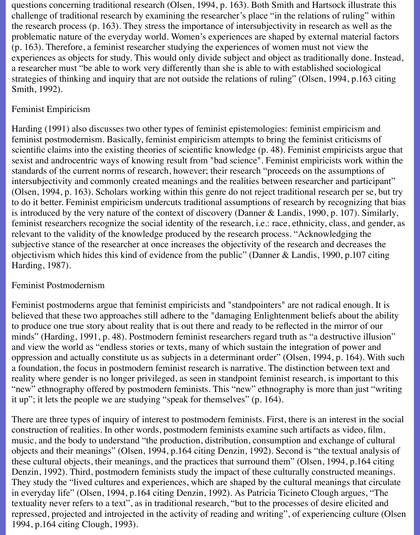questions concerning traditional research (Olsen, 1994, p. 163). Both Smith and Hartsock illustrate this challenge of traditional research by examining the researcher's place "in the relations of ruling" within the research process (p. 163). They stress the importance of intersubjectivity in research as well as the problematic nature of the everyday world. Women's experiences are shaped by external material factors (p. 163). Therefore, a feminist researcher studying the experiences of women must not view the experiences as objects for study. This would only divide subject and object as traditionally done. Instead, a researcher must "be able to work very differently than she is able to with established sociological strategies of thinking and inquiry that are not outside the relations of ruling" (Olsen, 1994, p.163 citing Smith, 1992).

## Feminist Empiricism

Harding (1991) also discusses two other types of feminist epistemologies: feminist empiricism and feminist postmodernism. Basically, feminist empiricism attempts to bring the feminist criticisms of scientific claims into the existing theories of scientific knowledge (p. 48). Feminist empiricists argue that sexist and androcentric ways of knowing result from "bad science". Feminist empiricists work within the standards of the current norms of research, however; their research "proceeds on the assumptions of intersubjectivity and commonly created meanings and the realities between researcher and participant" (Olsen, 1994, p. 163). Scholars working within this genre do not reject traditional research per se, but try to do it better. Feminist empiricism undercuts traditional assumptions of research by recognizing that bias is introduced by the very nature of the context of discovery (Danner & Landis, 1990, p. 107). Similarly, feminist researchers recognize the social identity of the research, i.e.: race, ethnicity, class, and gender, as relevant to the validity of the knowledge produced by the research process. "Acknowledging the subjective stance of the researcher at once increases the objectivity of the research and decreases the objectivism which hides this kind of evidence from the public" (Danner & Landis, 1990, p.107 citing Harding, 1987).

#### Feminist Postmodernism

Feminist postmoderns argue that feminist empiricists and "standpointers" are not radical enough. It is believed that these two approaches still adhere to the "damaging Enlightenment beliefs about the ability to produce one true story about reality that is out there and ready to be reflected in the mirror of our minds" (Harding, 1991, p. 48). Postmodern feminist researchers regard truth as "a destructive illusion" and view the world as "endless stories or texts, many of which sustain the integration of power and oppression and actually constitute us as subjects in a determinant order" (Olsen, 1994, p. 164). With such a foundation, the focus in postmodern feminist research is narrative. The distinction between text and reality where gender is no longer privileged, as seen in standpoint feminist research, is important to this "new" ethnography offered by postmodern feminists. This "new" ethnography is more than just "writing it up"; it lets the people we are studying "speak for themselves" (p. 164).

There are three types of inquiry of interest to postmodern feminists. First, there is an interest in the social construction of realities. In other words, postmodern feminists examine such artifacts as video, film, music, and the body to understand "the production, distribution, consumption and exchange of cultural objects and their meanings" (Olsen, 1994, p.164 citing Denzin, 1992). Second is "the textual analysis of these cultural objects, their meanings, and the practices that surround them" (Olsen, 1994, p.164 citing Denzin, 1992). Third, postmodern feminists study the impact of these culturally constructed meanings. They study the "lived cultures and experiences, which are shaped by the cultural meanings that circulate in everyday life" (Olsen, 1994, p.164 citing Denzin, 1992). As Patricia Ticineto Clough argues, "The textuality never refers to a text", as in traditional research, "but to the processes of desire elicited and repressed, projected and introjected in the activity of reading and writing", of experiencing culture (Olsen 1994, p.164 citing Clough, 1993).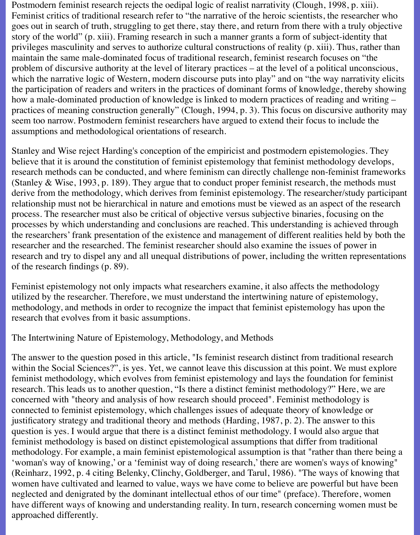Postmodern feminist research rejects the oedipal logic of realist narrativity (Clough, 1998, p. xiii). Feminist critics of traditional research refer to "the narrative of the heroic scientists, the researcher who goes out in search of truth, struggling to get there, stay there, and return from there with a truly objective story of the world" (p. xiii). Framing research in such a manner grants a form of subject-identity that privileges masculinity and serves to authorize cultural constructions of reality (p. xiii). Thus, rather than maintain the same male-dominated focus of traditional research, feminist research focuses on "the problem of discursive authority at the level of literary practices – at the level of a political unconscious, which the narrative logic of Western, modern discourse puts into play" and on "the way narrativity elicits the participation of readers and writers in the practices of dominant forms of knowledge, thereby showing how a male-dominated production of knowledge is linked to modern practices of reading and writing – practices of meaning construction generally" (Clough, 1994, p. 3). This focus on discursive authority may seem too narrow. Postmodern feminist researchers have argued to extend their focus to include the assumptions and methodological orientations of research.

Stanley and Wise reject Harding's conception of the empiricist and postmodern epistemologies. They believe that it is around the constitution of feminist epistemology that feminist methodology develops, research methods can be conducted, and where feminism can directly challenge non-feminist frameworks (Stanley & Wise, 1993, p. 189). They argue that to conduct proper feminist research, the methods must derive from the methodology, which derives from feminist epistemology. The researcher/study participant relationship must not be hierarchical in nature and emotions must be viewed as an aspect of the research process. The researcher must also be critical of objective versus subjective binaries, focusing on the processes by which understanding and conclusions are reached. This understanding is achieved through the researchers' frank presentation of the existence and management of different realities held by both the researcher and the researched. The feminist researcher should also examine the issues of power in research and try to dispel any and all unequal distributions of power, including the written representations of the research findings (p. 89).

Feminist epistemology not only impacts what researchers examine, it also affects the methodology utilized by the researcher. Therefore, we must understand the intertwining nature of epistemology, methodology, and methods in order to recognize the impact that feminist epistemology has upon the research that evolves from it basic assumptions.

#### The Intertwining Nature of Epistemology, Methodology, and Methods

The answer to the question posed in this article, "Is feminist research distinct from traditional research within the Social Sciences?", is yes. Yet, we cannot leave this discussion at this point. We must explore feminist methodology, which evolves from feminist epistemology and lays the foundation for feminist research. This leads us to another question, "Is there a distinct feminist methodology?" Here, we are concerned with "theory and analysis of how research should proceed". Feminist methodology is connected to feminist epistemology, which challenges issues of adequate theory of knowledge or justificatory strategy and traditional theory and methods (Harding, 1987, p. 2). The answer to this question is yes. I would argue that there is a distinct feminist methodology. I would also argue that feminist methodology is based on distinct epistemological assumptions that differ from traditional methodology. For example, a main feminist epistemological assumption is that "rather than there being a 'woman's way of knowing,' or a 'feminist way of doing research,' there are women's ways of knowing" (Reinharz, 1992, p. 4 citing Belenky, Clinchy, Goldberger, and Tarul, 1986). "The ways of knowing that women have cultivated and learned to value, ways we have come to believe are powerful but have been neglected and denigrated by the dominant intellectual ethos of our time" (preface). Therefore, women have different ways of knowing and understanding reality. In turn, research concerning women must be approached differently.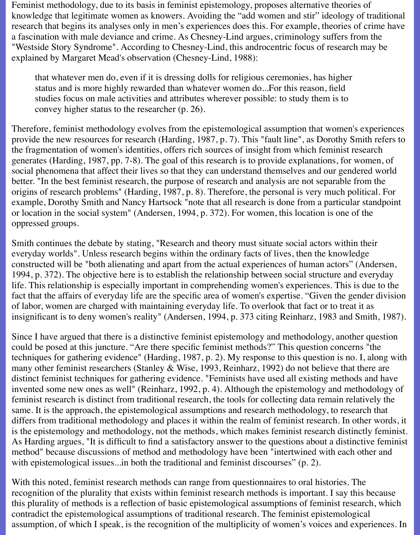Feminist methodology, due to its basis in feminist epistemology, proposes alternative theories of knowledge that legitimate women as knowers. Avoiding the "add women and stir" ideology of traditional research that begins its analyses only in men's experiences does this. For example, theories of crime have a fascination with male deviance and crime. As Chesney-Lind argues, criminology suffers from the "Westside Story Syndrome". According to Chesney-Lind, this androcentric focus of research may be explained by Margaret Mead's observation (Chesney-Lind, 1988):

that whatever men do, even if it is dressing dolls for religious ceremonies, has higher status and is more highly rewarded than whatever women do...For this reason, field studies focus on male activities and attributes wherever possible: to study them is to convey higher status to the researcher (p. 26).

Therefore, feminist methodology evolves from the epistemological assumption that women's experiences provide the new resources for research (Harding, 1987, p. 7). This "fault line", as Dorothy Smith refers to the fragmentation of women's identities, offers rich sources of insight from which feminist research generates (Harding, 1987, pp. 7-8). The goal of this research is to provide explanations, for women, of social phenomena that affect their lives so that they can understand themselves and our gendered world better. "In the best feminist research, the purpose of research and analysis are not separable from the origins of research problems" (Harding, 1987, p. 8). Therefore, the personal is very much political. For example, Dorothy Smith and Nancy Hartsock "note that all research is done from a particular standpoint or location in the social system" (Andersen, 1994, p. 372). For women, this location is one of the oppressed groups.

Smith continues the debate by stating, "Research and theory must situate social actors within their everyday worlds". Unless research begins within the ordinary facts of lives, then the knowledge constructed will be "both alienating and apart from the actual experiences of human actors" (Andersen, 1994, p. 372). The objective here is to establish the relationship between social structure and everyday life. This relationship is especially important in comprehending women's experiences. This is due to the fact that the affairs of everyday life are the specific area of women's expertise. "Given the gender division of labor, women are charged with maintaining everyday life. To overlook that fact or to treat it as insignificant is to deny women's reality" (Andersen, 1994, p. 373 citing Reinharz, 1983 and Smith, 1987).

Since I have argued that there is a distinctive feminist epistemology and methodology, another question could be posed at this juncture. "Are there specific feminist methods?" This question concerns "the techniques for gathering evidence" (Harding, 1987, p. 2). My response to this question is no. I, along with many other feminist researchers (Stanley & Wise, 1993, Reinharz, 1992) do not believe that there are distinct feminist techniques for gathering evidence. "Feminists have used all existing methods and have invented some new ones as well" (Reinharz, 1992, p. 4). Although the epistemology and methodology of feminist research is distinct from traditional research, the tools for collecting data remain relatively the same. It is the approach, the epistemological assumptions and research methodology, to research that differs from traditional methodology and places it within the realm of feminist research. In other words, it is the epistemology and methodology, not the methods, which makes feminist research distinctly feminist. As Harding argues, "It is difficult to find a satisfactory answer to the questions about a distinctive feminist method" because discussions of method and methodology have been "intertwined with each other and with epistemological issues...in both the traditional and feminist discourses" (p. 2).

With this noted, feminist research methods can range from questionnaires to oral histories. The recognition of the plurality that exists within feminist research methods is important. I say this because this plurality of methods is a reflection of basic epistemological assumptions of feminist research, which contradict the epistemological assumptions of traditional research. The feminist epistemological assumption, of which I speak, is the recognition of the multiplicity of women's voices and experiences. In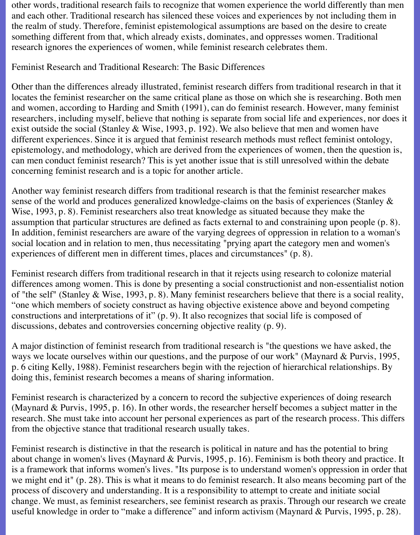other words, traditional research fails to recognize that women experience the world differently than men and each other. Traditional research has silenced these voices and experiences by not including them in the realm of study. Therefore, feminist epistemological assumptions are based on the desire to create something different from that, which already exists, dominates, and oppresses women. Traditional research ignores the experiences of women, while feminist research celebrates them.

### Feminist Research and Traditional Research: The Basic Differences

Other than the differences already illustrated, feminist research differs from traditional research in that it locates the feminist researcher on the same critical plane as those on which she is researching. Both men and women, according to Harding and Smith (1991), can do feminist research. However, many feminist researchers, including myself, believe that nothing is separate from social life and experiences, nor does it exist outside the social (Stanley & Wise, 1993, p. 192). We also believe that men and women have different experiences. Since it is argued that feminist research methods must reflect feminist ontology, epistemology, and methodology, which are derived from the experiences of women, then the question is, can men conduct feminist research? This is yet another issue that is still unresolved within the debate concerning feminist research and is a topic for another article.

Another way feminist research differs from traditional research is that the feminist researcher makes sense of the world and produces generalized knowledge-claims on the basis of experiences (Stanley & Wise, 1993, p. 8). Feminist researchers also treat knowledge as situated because they make the assumption that particular structures are defined as facts external to and constraining upon people (p. 8). In addition, feminist researchers are aware of the varying degrees of oppression in relation to a woman's social location and in relation to men, thus necessitating "prying apart the category men and women's experiences of different men in different times, places and circumstances" (p. 8).

Feminist research differs from traditional research in that it rejects using research to colonize material differences among women. This is done by presenting a social constructionist and non-essentialist notion of "the self" (Stanley & Wise, 1993, p. 8). Many feminist researchers believe that there is a social reality, "one which members of society construct as having objective existence above and beyond competing constructions and interpretations of it" (p. 9). It also recognizes that social life is composed of discussions, debates and controversies concerning objective reality (p. 9).

A major distinction of feminist research from traditional research is "the questions we have asked, the ways we locate ourselves within our questions, and the purpose of our work" (Maynard & Purvis, 1995, p. 6 citing Kelly, 1988). Feminist researchers begin with the rejection of hierarchical relationships. By doing this, feminist research becomes a means of sharing information.

Feminist research is characterized by a concern to record the subjective experiences of doing research (Maynard & Purvis, 1995, p. 16). In other words, the researcher herself becomes a subject matter in the research. She must take into account her personal experiences as part of the research process. This differs from the objective stance that traditional research usually takes.

Feminist research is distinctive in that the research is political in nature and has the potential to bring about change in women's lives (Maynard & Purvis, 1995, p. 16). Feminism is both theory and practice. It is a framework that informs women's lives. "Its purpose is to understand women's oppression in order that we might end it" (p. 28). This is what it means to do feminist research. It also means becoming part of the process of discovery and understanding. It is a responsibility to attempt to create and initiate social change. We must, as feminist researchers, see feminist research as praxis. Through our research we create useful knowledge in order to "make a difference" and inform activism (Maynard & Purvis, 1995, p. 28).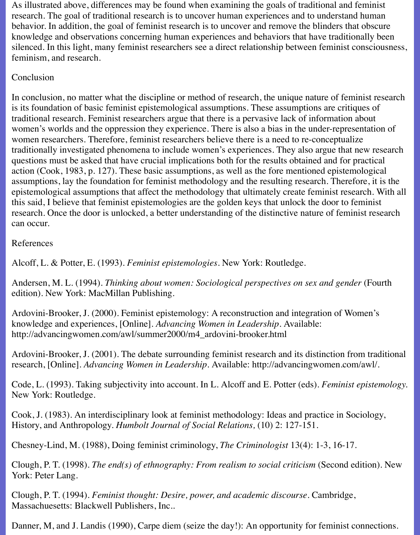As illustrated above, differences may be found when examining the goals of traditional and feminist research. The goal of traditional research is to uncover human experiences and to understand human behavior. In addition, the goal of feminist research is to uncover and remove the blinders that obscure knowledge and observations concerning human experiences and behaviors that have traditionally been silenced. In this light, many feminist researchers see a direct relationship between feminist consciousness, feminism, and research.

# Conclusion

In conclusion, no matter what the discipline or method of research, the unique nature of feminist research is its foundation of basic feminist epistemological assumptions. These assumptions are critiques of traditional research. Feminist researchers argue that there is a pervasive lack of information about women's worlds and the oppression they experience. There is also a bias in the under-representation of women researchers. Therefore, feminist researchers believe there is a need to re-conceptualize traditionally investigated phenomena to include women's experiences. They also argue that new research questions must be asked that have crucial implications both for the results obtained and for practical action (Cook, 1983, p. 127). These basic assumptions, as well as the fore mentioned epistemological assumptions, lay the foundation for feminist methodology and the resulting research. Therefore, it is the epistemological assumptions that affect the methodology that ultimately create feminist research. With all this said, I believe that feminist epistemologies are the golden keys that unlock the door to feminist research. Once the door is unlocked, a better understanding of the distinctive nature of feminist research can occur.

# References

Alcoff, L. & Potter, E. (1993). *Feminist epistemologies.* New York: Routledge.

Andersen, M. L. (1994). *Thinking about women: Sociological perspectives on sex and gender* (Fourth edition). New York: MacMillan Publishing.

Ardovini-Brooker, J. (2000). Feminist epistemology: A reconstruction and integration of Women's knowledge and experiences, [Online]. *Advancing Women in Leadership.* Available: http://advancingwomen.com/awl/summer2000/m4\_ardovini-brooker.html

Ardovini-Brooker, J. (2001). The debate surrounding feminist research and its distinction from traditional research, [Online]. *Advancing Women in Leadership.* Available: http://advancingwomen.com/awl/.

Code, L. (1993). Taking subjectivity into account. In L. Alcoff and E. Potter (eds). *Feminist epistemology.* New York: Routledge.

Cook, J. (1983). An interdisciplinary look at feminist methodology: Ideas and practice in Sociology, History, and Anthropology. *Humbolt Journal of Social Relations,* (10) 2: 127-151.

Chesney-Lind, M. (1988), Doing feminist criminology, *The Criminologist* 13(4): 1-3, 16-17.

Clough, P. T. (1998). *The end(s) of ethnography: From realism to social criticism* (Second edition). New York: Peter Lang.

Clough, P. T. (1994). *Feminist thought: Desire, power, and academic discourse.* Cambridge, Massachuesetts: Blackwell Publishers, Inc..

Danner, M, and J. Landis (1990), Carpe diem (seize the day!): An opportunity for feminist connections.